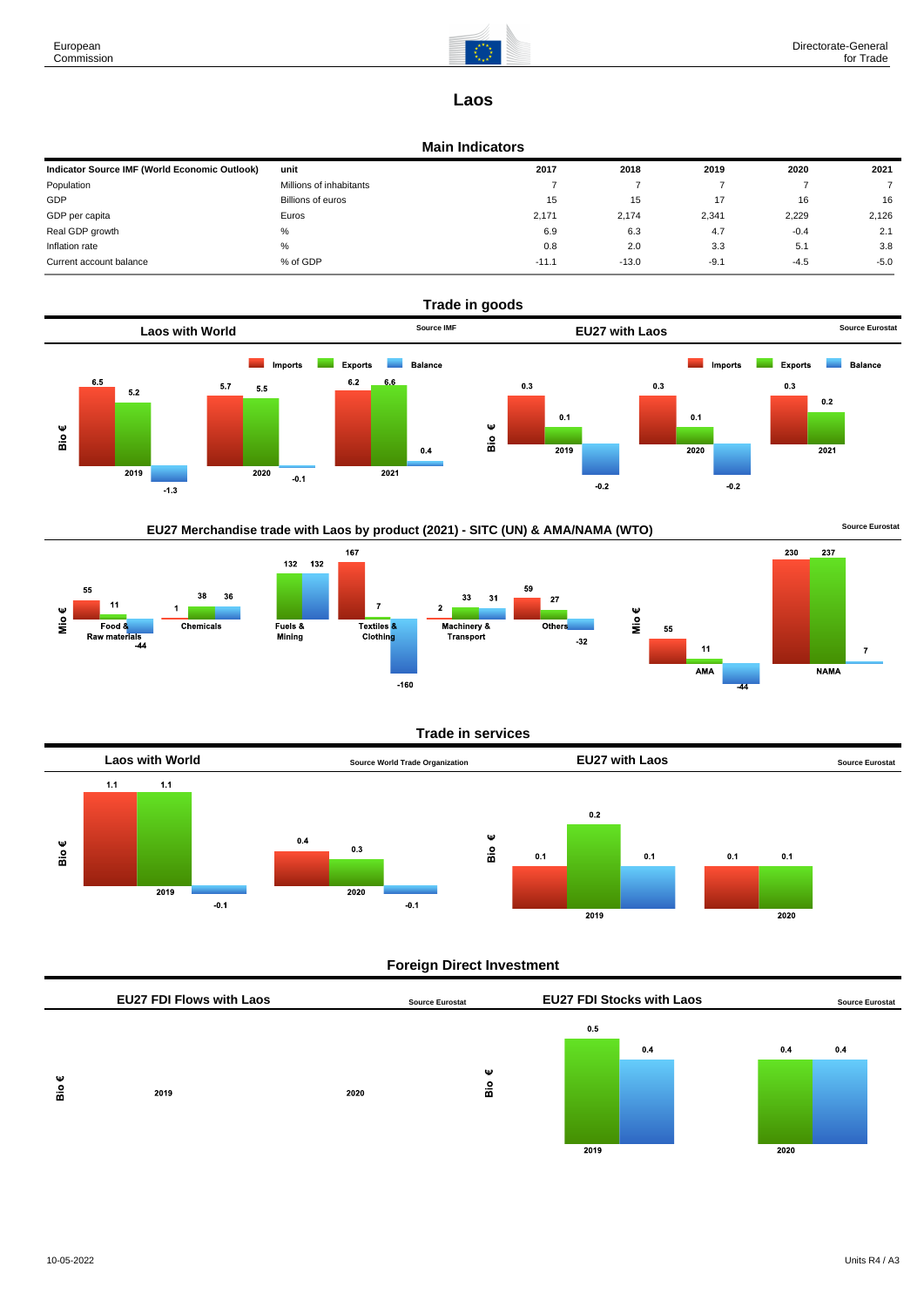

237

**NAMA** 

 $\overline{7}$ 

# **Laos**

#### **Main Indicators**

| Indicator Source IMF (World Economic Outlook) | unit                    | 2017    | 2018    | 2019   | 2020   | 2021   |
|-----------------------------------------------|-------------------------|---------|---------|--------|--------|--------|
| Population                                    | Millions of inhabitants |         |         |        |        |        |
| GDP                                           | Billions of euros       | 15      | 15      |        | 16     | 16     |
| GDP per capita                                | Euros                   | 2.171   | 2.174   | 2,341  | 2,229  | 2,126  |
| Real GDP growth                               | %                       | 6.9     | 6.3     | 4.7    | $-0.4$ | 2.1    |
| Inflation rate                                | %                       | 0.8     | 2.0     | 3.3    | 5.1    | 3.8    |
| Current account balance                       | % of GDP                | $-11.1$ | $-13.0$ | $-9.1$ | $-4.5$ | $-5.0$ |



## EU27 Merchandise trade with Laos by product (2021) - SITC (UN) & AMA/NAMA (WTO) **Source Eurostat**



#### **Trade in services**



## **Foreign Direct Investment**

|   | <b>EU27 FDI Flows with Laos</b> |      | <b>Source Eurostat</b> |      | <b>EU27 FDI Stocks with Laos</b> |      | <b>Source Eurostat</b> |
|---|---------------------------------|------|------------------------|------|----------------------------------|------|------------------------|
|   |                                 |      |                        | 0.5  |                                  |      |                        |
|   |                                 |      |                        |      | 0.4                              | 0.4  | 0.4                    |
| Ψ |                                 |      | Ψ                      |      |                                  |      |                        |
| å | 2019                            | 2020 | $rac{6}{10}$           |      |                                  |      |                        |
|   |                                 |      |                        |      |                                  |      |                        |
|   |                                 |      |                        |      |                                  |      |                        |
|   |                                 |      |                        | 2019 |                                  | 2020 |                        |